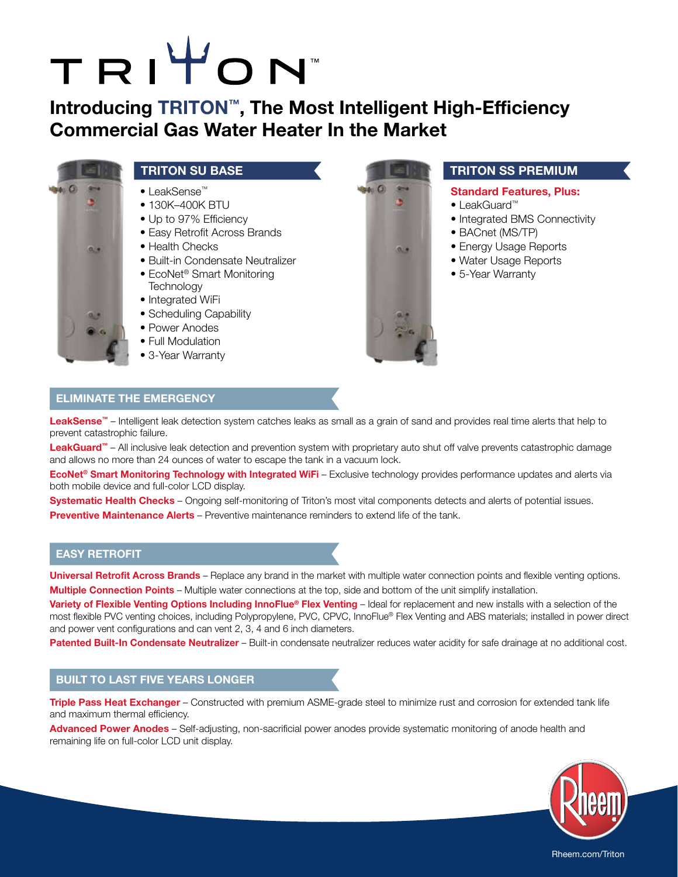# TRITON

## **Introducing TRITON™, The Most Intelligent High-Efficiency Commercial Gas Water Heater In the Market**



- LeakSense™
- 130K-400K BTU
- Up to 97% Efficiency
- Easy Retrofit Across Brands
- Health Checks
- Built-in Condensate Neutralizer
- EcoNet® Smart Monitoring **Technology**
- Integrated WiFi
- Scheduling Capability
- Power Anodes
- Full Modulation
- 3-Year Warranty



### **TRITON SU BASE AND RESIDENCE TRITON SS PREMIUM**

#### **Standard Features, Plus:**

- LeakGuard™
- Integrated BMS Connectivity
- BACnet (MS/TP)
- Energy Usage Reports
- Water Usage Reports
- 5-Year Warranty

#### **ELIMINATE THE EMERGENCY**

LeakSense<sup>™</sup> – Intelligent leak detection system catches leaks as small as a grain of sand and provides real time alerts that help to prevent catastrophic failure.

LeakGuard<sup>™</sup> – All inclusive leak detection and prevention system with proprietary auto shut off valve prevents catastrophic damage and allows no more than 24 ounces of water to escape the tank in a vacuum lock.

**EcoNet® Smart Monitoring Technology with Integrated WiFi** – Exclusive technology provides performance updates and alerts via both mobile device and full-color LCD display.

**Systematic Health Checks** – Ongoing self-monitoring of Triton's most vital components detects and alerts of potential issues. **Preventive Maintenance Alerts** – Preventive maintenance reminders to extend life of the tank.

#### **EASY RETROFIT**

**Universal Retrofit Across Brands** – Replace any brand in the market with multiple water connection points and flexible venting options. **Multiple Connection Points** – Multiple water connections at the top, side and bottom of the unit simplify installation.

**Variety of Flexible Venting Options Including InnoFlue® Flex Venting** – Ideal for replacement and new installs with a selection of the most flexible PVC venting choices, including Polypropylene, PVC, CPVC, InnoFlue® Flex Venting and ABS materials; installed in power direct and power vent configurations and can vent 2, 3, 4 and 6 inch diameters.

**Patented Built-In Condensate Neutralizer** – Built-in condensate neutralizer reduces water acidity for safe drainage at no additional cost.

#### **BUILT TO LAST FIVE YEARS LONGER**

**Triple Pass Heat Exchanger** – Constructed with premium ASME-grade steel to minimize rust and corrosion for extended tank life and maximum thermal efficiency.

**Advanced Power Anodes** – Self-adjusting, non-sacrificial power anodes provide systematic monitoring of anode health and remaining life on full-color LCD unit display.



Rheem.com/Triton